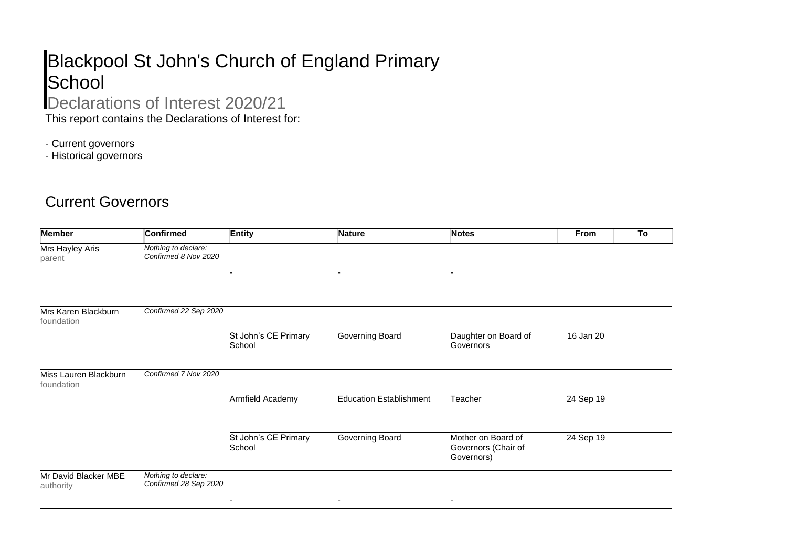## Blackpool St John's Church of England Primary **School**

## Declarations of Interest 2020/21

This report contains the Declarations of Interest for:

- Current governors

- Historical governors

## Current Governors

| <b>Member</b>                       | <b>Confirmed</b>                             | Entity                         | <b>Nature</b>                  | <b>Notes</b>                      | From      | To |
|-------------------------------------|----------------------------------------------|--------------------------------|--------------------------------|-----------------------------------|-----------|----|
| Mrs Hayley Aris<br>parent           | Nothing to declare:<br>Confirmed 8 Nov 2020  |                                |                                |                                   |           |    |
|                                     |                                              | $\overline{\phantom{a}}$       | $\overline{\phantom{a}}$       | ۰                                 |           |    |
| Mrs Karen Blackburn<br>foundation   | Confirmed 22 Sep 2020                        |                                |                                |                                   |           |    |
|                                     |                                              | St John's CE Primary<br>School | Governing Board                | Daughter on Board of<br>Governors | 16 Jan 20 |    |
| Miss Lauren Blackburn<br>foundation | Confirmed 7 Nov 2020                         |                                |                                |                                   |           |    |
|                                     |                                              | Armfield Academy               | <b>Education Establishment</b> | Teacher                           | 24 Sep 19 |    |
|                                     |                                              | St John's CE Primary           | Governing Board                | Mother on Board of                | 24 Sep 19 |    |
|                                     |                                              | School                         |                                | Governors (Chair of<br>Governors) |           |    |
| Mr David Blacker MBE<br>authority   | Nothing to declare:<br>Confirmed 28 Sep 2020 |                                |                                |                                   |           |    |
|                                     |                                              |                                | $\qquad \qquad \blacksquare$   |                                   |           |    |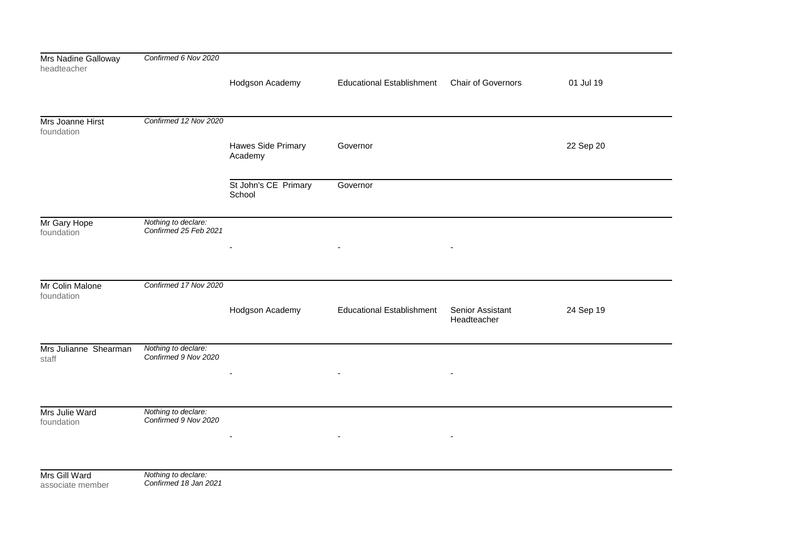| Mrs Nadine Galloway<br>headteacher | Confirmed 6 Nov 2020                         |                                |                                  |                                 |           |
|------------------------------------|----------------------------------------------|--------------------------------|----------------------------------|---------------------------------|-----------|
|                                    |                                              | Hodgson Academy                | <b>Educational Establishment</b> | Chair of Governors              | 01 Jul 19 |
| Mrs Joanne Hirst                   | Confirmed 12 Nov 2020                        |                                |                                  |                                 |           |
| foundation                         |                                              |                                |                                  |                                 |           |
|                                    |                                              | Hawes Side Primary<br>Academy  | Governor                         |                                 | 22 Sep 20 |
|                                    |                                              | St John's CE Primary<br>School | Governor                         |                                 |           |
| Mr Gary Hope<br>foundation         | Nothing to declare:<br>Confirmed 25 Feb 2021 |                                |                                  |                                 |           |
|                                    |                                              |                                |                                  |                                 |           |
| Mr Colin Malone<br>foundation      | Confirmed 17 Nov 2020                        |                                |                                  |                                 |           |
|                                    |                                              | Hodgson Academy                | <b>Educational Establishment</b> | Senior Assistant<br>Headteacher | 24 Sep 19 |
| Mrs Julianne Shearman<br>staff     | Nothing to declare:<br>Confirmed 9 Nov 2020  |                                |                                  |                                 |           |
|                                    |                                              |                                |                                  |                                 |           |
|                                    |                                              |                                |                                  |                                 |           |
| Mrs Julie Ward<br>foundation       | Nothing to declare:<br>Confirmed 9 Nov 2020  |                                | $\overline{\phantom{0}}$         |                                 |           |
|                                    |                                              |                                |                                  |                                 |           |
| Mrs Gill Ward<br>associate member  | Nothing to declare:<br>Confirmed 18 Jan 2021 |                                |                                  |                                 |           |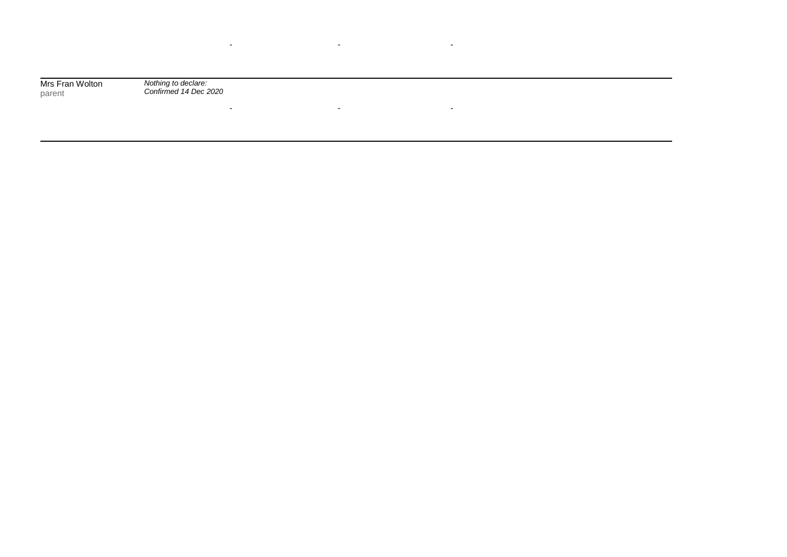Mrs Fran Wolton parent

*Nothing to declare: Confirmed 14 Dec 2020*

- - -

and the state of the state of the state of the state of the state of